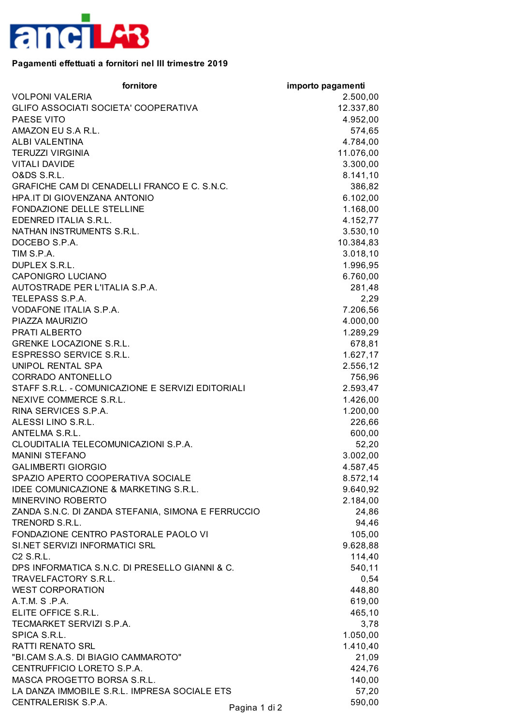

## **Pagamenti effettuati a fornitori nel III trimestre 2019**

| fornitore                                          | importo pagamenti |
|----------------------------------------------------|-------------------|
| <b>VOLPONI VALERIA</b>                             | 2.500,00          |
| GLIFO ASSOCIATI SOCIETA' COOPERATIVA               | 12.337,80         |
| PAESE VITO                                         | 4.952,00          |
| AMAZON EU S.A R.L.                                 | 574,65            |
| ALBI VALENTINA                                     | 4.784,00          |
| <b>TERUZZI VIRGINIA</b>                            | 11.076,00         |
| <b>VITALI DAVIDE</b>                               | 3.300,00          |
| <b>O&amp;DS S.R.L.</b>                             | 8.141,10          |
| GRAFICHE CAM DI CENADELLI FRANCO E C. S.N.C.       | 386,82            |
| HPA.IT DI GIOVENZANA ANTONIO                       | 6.102,00          |
| FONDAZIONE DELLE STELLINE                          | 1.168,00          |
| EDENRED ITALIA S.R.L.                              | 4.152,77          |
| NATHAN INSTRUMENTS S.R.L.                          | 3.530,10          |
| DOCEBO S.P.A.                                      | 10.384,83         |
| TIM S.P.A.                                         | 3.018,10          |
| DUPLEX S.R.L.                                      | 1.996,95          |
| <b>CAPONIGRO LUCIANO</b>                           | 6.760,00          |
| AUTOSTRADE PER L'ITALIA S.P.A.                     | 281,48            |
| TELEPASS S.P.A.                                    | 2,29              |
| VODAFONE ITALIA S.P.A.                             | 7.206,56          |
| PIAZZA MAURIZIO                                    | 4.000,00          |
| <b>PRATI ALBERTO</b>                               | 1.289,29          |
| <b>GRENKE LOCAZIONE S.R.L.</b>                     | 678,81            |
| ESPRESSO SERVICE S.R.L.                            | 1.627,17          |
| <b>UNIPOL RENTAL SPA</b>                           | 2.556,12          |
| <b>CORRADO ANTONELLO</b>                           | 756,96            |
| STAFF S.R.L. - COMUNICAZIONE E SERVIZI EDITORIALI  | 2.593,47          |
| NEXIVE COMMERCE S.R.L.                             | 1.426,00          |
| RINA SERVICES S.P.A.                               | 1.200,00          |
| ALESSI LINO S.R.L.                                 | 226,66            |
| ANTELMA S.R.L.                                     | 600,00            |
| CLOUDITALIA TELECOMUNICAZIONI S.P.A.               | 52,20             |
| <b>MANINI STEFANO</b>                              | 3.002,00          |
| <b>GALIMBERTI GIORGIO</b>                          | 4.587,45          |
| SPAZIO APERTO COOPERATIVA SOCIALE                  | 8.572,14          |
| IDEE COMUNICAZIONE & MARKETING S.R.L.              | 9.640,92          |
| MINERVINO ROBERTO                                  | 2.184,00          |
| ZANDA S.N.C. DI ZANDA STEFANIA, SIMONA E FERRUCCIO | 24,86             |
| TRENORD S.R.L.                                     | 94,46             |
| FONDAZIONE CENTRO PASTORALE PAOLO VI               | 105,00            |
| SI.NET SERVIZI INFORMATICI SRL                     | 9.628,88          |
| C <sub>2</sub> S.R.L.                              | 114,40            |
| DPS INFORMATICA S.N.C. DI PRESELLO GIANNI & C.     | 540,11            |
| TRAVELFACTORY S.R.L.                               | 0,54              |
| <b>WEST CORPORATION</b>                            | 448,80            |
| A.T.M. S.P.A.                                      | 619,00            |
| ELITE OFFICE S.R.L.                                | 465,10            |
| TECMARKET SERVIZI S.P.A.                           | 3,78              |
| SPICA S.R.L.                                       | 1.050,00          |
| <b>RATTI RENATO SRL</b>                            | 1.410,40          |
| "BI.CAM S.A.S. DI BIAGIO CAMMAROTO"                | 21,09             |
| CENTRUFFICIO LORETO S.P.A.                         | 424,76            |
| MASCA PROGETTO BORSA S.R.L.                        | 140,00            |
| LA DANZA IMMOBILE S.R.L. IMPRESA SOCIALE ETS       | 57,20             |
| CENTRALERISK S.P.A.<br>Pagina 1 di 2               | 590,00            |
|                                                    |                   |